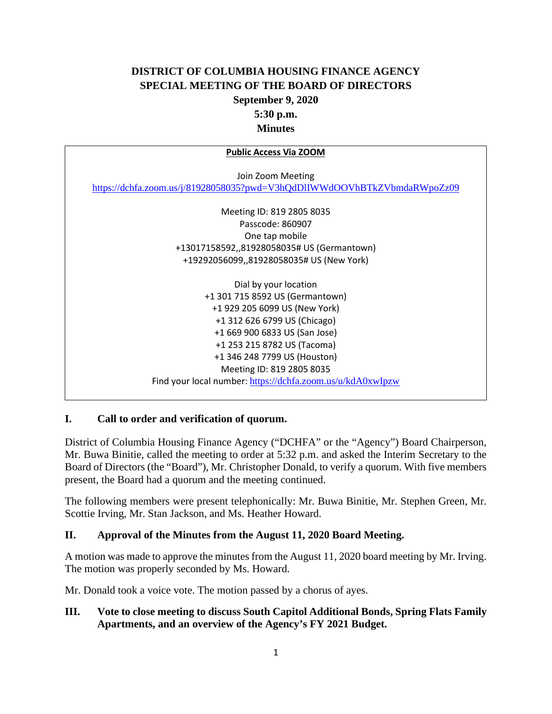# **DISTRICT OF COLUMBIA HOUSING FINANCE AGENCY SPECIAL MEETING OF THE BOARD OF DIRECTORS September 9, 2020 5:30 p.m. Minutes**

| <b>Public Access Via ZOOM</b>                                            |
|--------------------------------------------------------------------------|
|                                                                          |
| Join Zoom Meeting                                                        |
| https://dchfa.zoom.us/j/81928058035?pwd=V3hQdDlIWWdOOVhBTkZVbmdaRWpoZz09 |
|                                                                          |
| Meeting ID: 819 2805 8035                                                |
| Passcode: 860907                                                         |
| One tap mobile                                                           |
| +13017158592,,81928058035# US (Germantown)                               |
| +19292056099,,81928058035# US (New York)                                 |
|                                                                          |
| Dial by your location                                                    |
| +1 301 715 8592 US (Germantown)                                          |
| +1 929 205 6099 US (New York)                                            |
| +1 312 626 6799 US (Chicago)                                             |
| +1 669 900 6833 US (San Jose)                                            |
| +1 253 215 8782 US (Tacoma)                                              |
| +1 346 248 7799 US (Houston)                                             |
| Meeting ID: 819 2805 8035                                                |
| Find your local number: https://dchfa.zoom.us/u/kdA0xwIpzw               |
|                                                                          |

# **I. Call to order and verification of quorum.**

District of Columbia Housing Finance Agency ("DCHFA" or the "Agency") Board Chairperson, Mr. Buwa Binitie, called the meeting to order at 5:32 p.m. and asked the Interim Secretary to the Board of Directors (the "Board"), Mr. Christopher Donald, to verify a quorum. With five members present, the Board had a quorum and the meeting continued.

The following members were present telephonically: Mr. Buwa Binitie, Mr. Stephen Green, Mr. Scottie Irving, Mr. Stan Jackson, and Ms. Heather Howard.

#### **II. Approval of the Minutes from the August 11, 2020 Board Meeting.**

A motion was made to approve the minutes from the August 11, 2020 board meeting by Mr. Irving. The motion was properly seconded by Ms. Howard.

Mr. Donald took a voice vote. The motion passed by a chorus of ayes.

# **III. Vote to close meeting to discuss South Capitol Additional Bonds, Spring Flats Family Apartments, and an overview of the Agency's FY 2021 Budget.**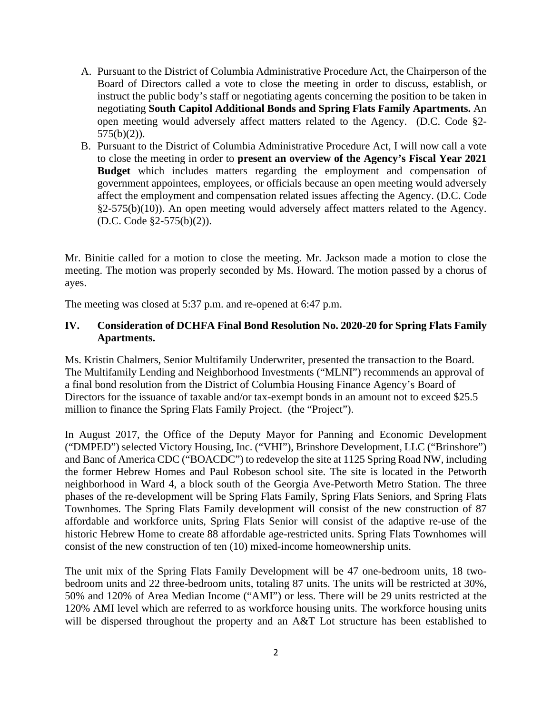- A. Pursuant to the District of Columbia Administrative Procedure Act, the Chairperson of the Board of Directors called a vote to close the meeting in order to discuss, establish, or instruct the public body's staff or negotiating agents concerning the position to be taken in negotiating **South Capitol Additional Bonds and Spring Flats Family Apartments.** An open meeting would adversely affect matters related to the Agency. (D.C. Code §2-  $575(b)(2)$ ).
- B. Pursuant to the District of Columbia Administrative Procedure Act, I will now call a vote to close the meeting in order to **present an overview of the Agency's Fiscal Year 2021 Budget** which includes matters regarding the employment and compensation of government appointees, employees, or officials because an open meeting would adversely affect the employment and compensation related issues affecting the Agency. (D.C. Code §2-575(b)(10)). An open meeting would adversely affect matters related to the Agency. (D.C. Code §2-575(b)(2)).

Mr. Binitie called for a motion to close the meeting. Mr. Jackson made a motion to close the meeting. The motion was properly seconded by Ms. Howard. The motion passed by a chorus of ayes.

The meeting was closed at 5:37 p.m. and re-opened at 6:47 p.m.

#### **IV. Consideration of DCHFA Final Bond Resolution No. 2020-20 for Spring Flats Family Apartments.**

Ms. Kristin Chalmers, Senior Multifamily Underwriter, presented the transaction to the Board. The Multifamily Lending and Neighborhood Investments ("MLNI") recommends an approval of a final bond resolution from the District of Columbia Housing Finance Agency's Board of Directors for the issuance of taxable and/or tax-exempt bonds in an amount not to exceed \$25.5 million to finance the Spring Flats Family Project. (the "Project").

In August 2017, the Office of the Deputy Mayor for Panning and Economic Development ("DMPED") selected Victory Housing, Inc. ("VHI"), Brinshore Development, LLC ("Brinshore") and Banc of America CDC ("BOACDC") to redevelop the site at 1125 Spring Road NW, including the former Hebrew Homes and Paul Robeson school site. The site is located in the Petworth neighborhood in Ward 4, a block south of the Georgia Ave-Petworth Metro Station. The three phases of the re-development will be Spring Flats Family, Spring Flats Seniors, and Spring Flats Townhomes. The Spring Flats Family development will consist of the new construction of 87 affordable and workforce units, Spring Flats Senior will consist of the adaptive re-use of the historic Hebrew Home to create 88 affordable age-restricted units. Spring Flats Townhomes will consist of the new construction of ten (10) mixed-income homeownership units.

The unit mix of the Spring Flats Family Development will be 47 one-bedroom units, 18 twobedroom units and 22 three-bedroom units, totaling 87 units. The units will be restricted at 30%, 50% and 120% of Area Median Income ("AMI") or less. There will be 29 units restricted at the 120% AMI level which are referred to as workforce housing units. The workforce housing units will be dispersed throughout the property and an A&T Lot structure has been established to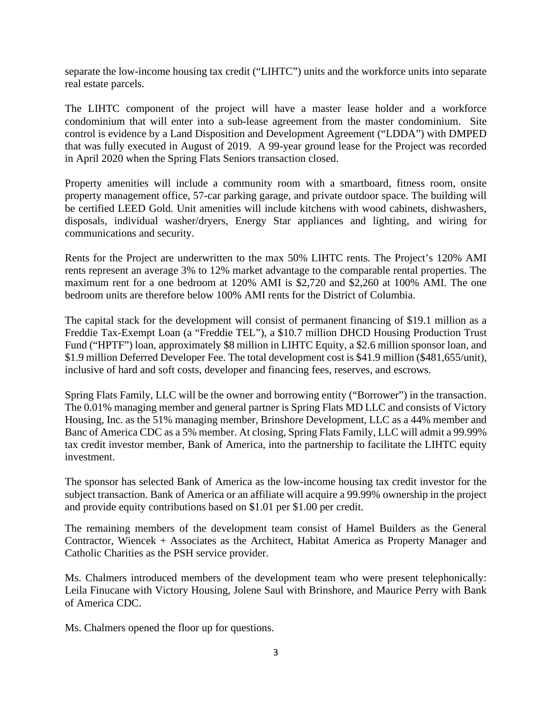separate the low-income housing tax credit ("LIHTC") units and the workforce units into separate real estate parcels.

The LIHTC component of the project will have a master lease holder and a workforce condominium that will enter into a sub-lease agreement from the master condominium. Site control is evidence by a Land Disposition and Development Agreement ("LDDA") with DMPED that was fully executed in August of 2019. A 99-year ground lease for the Project was recorded in April 2020 when the Spring Flats Seniors transaction closed.

Property amenities will include a community room with a smartboard, fitness room, onsite property management office, 57-car parking garage, and private outdoor space. The building will be certified LEED Gold. Unit amenities will include kitchens with wood cabinets, dishwashers, disposals, individual washer/dryers, Energy Star appliances and lighting, and wiring for communications and security.

Rents for the Project are underwritten to the max 50% LIHTC rents. The Project's 120% AMI rents represent an average 3% to 12% market advantage to the comparable rental properties. The maximum rent for a one bedroom at 120% AMI is \$2,720 and \$2,260 at 100% AMI. The one bedroom units are therefore below 100% AMI rents for the District of Columbia.

The capital stack for the development will consist of permanent financing of \$19.1 million as a Freddie Tax-Exempt Loan (a "Freddie TEL"), a \$10.7 million DHCD Housing Production Trust Fund ("HPTF") loan, approximately \$8 million in LIHTC Equity, a \$2.6 million sponsor loan, and \$1.9 million Deferred Developer Fee. The total development cost is \$41.9 million (\$481,655/unit), inclusive of hard and soft costs, developer and financing fees, reserves, and escrows.

Spring Flats Family, LLC will be the owner and borrowing entity ("Borrower") in the transaction. The 0.01% managing member and general partner is Spring Flats MD LLC and consists of Victory Housing, Inc. as the 51% managing member, Brinshore Development, LLC as a 44% member and Banc of America CDC as a 5% member. At closing, Spring Flats Family, LLC will admit a 99.99% tax credit investor member, Bank of America, into the partnership to facilitate the LIHTC equity investment.

The sponsor has selected Bank of America as the low-income housing tax credit investor for the subject transaction. Bank of America or an affiliate will acquire a 99.99% ownership in the project and provide equity contributions based on \$1.01 per \$1.00 per credit.

The remaining members of the development team consist of Hamel Builders as the General Contractor, Wiencek + Associates as the Architect, Habitat America as Property Manager and Catholic Charities as the PSH service provider.

Ms. Chalmers introduced members of the development team who were present telephonically: Leila Finucane with Victory Housing, Jolene Saul with Brinshore, and Maurice Perry with Bank of America CDC.

Ms. Chalmers opened the floor up for questions.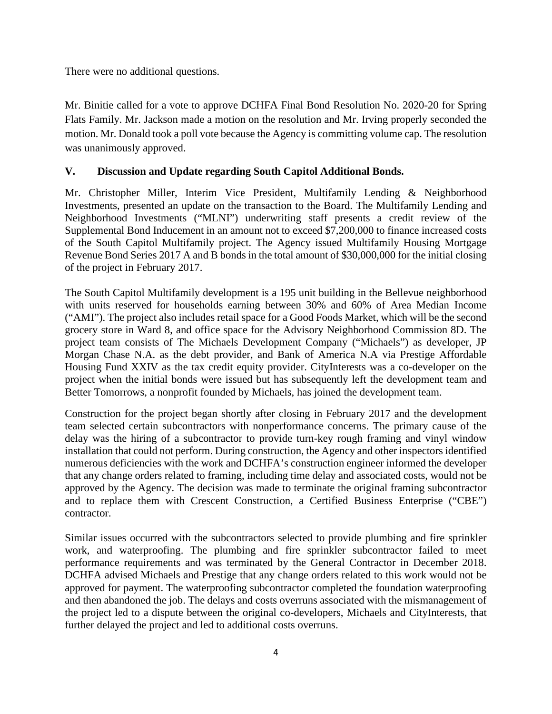There were no additional questions.

Mr. Binitie called for a vote to approve DCHFA Final Bond Resolution No. 2020-20 for Spring Flats Family. Mr. Jackson made a motion on the resolution and Mr. Irving properly seconded the motion. Mr. Donald took a poll vote because the Agency is committing volume cap. The resolution was unanimously approved.

# **V. Discussion and Update regarding South Capitol Additional Bonds.**

Mr. Christopher Miller, Interim Vice President, Multifamily Lending & Neighborhood Investments, presented an update on the transaction to the Board. The Multifamily Lending and Neighborhood Investments ("MLNI") underwriting staff presents a credit review of the Supplemental Bond Inducement in an amount not to exceed \$7,200,000 to finance increased costs of the South Capitol Multifamily project. The Agency issued Multifamily Housing Mortgage Revenue Bond Series 2017 A and B bonds in the total amount of \$30,000,000 for the initial closing of the project in February 2017.

The South Capitol Multifamily development is a 195 unit building in the Bellevue neighborhood with units reserved for households earning between 30% and 60% of Area Median Income ("AMI"). The project also includes retail space for a Good Foods Market, which will be the second grocery store in Ward 8, and office space for the Advisory Neighborhood Commission 8D. The project team consists of The Michaels Development Company ("Michaels") as developer, JP Morgan Chase N.A. as the debt provider, and Bank of America N.A via Prestige Affordable Housing Fund XXIV as the tax credit equity provider. CityInterests was a co-developer on the project when the initial bonds were issued but has subsequently left the development team and Better Tomorrows, a nonprofit founded by Michaels, has joined the development team.

Construction for the project began shortly after closing in February 2017 and the development team selected certain subcontractors with nonperformance concerns. The primary cause of the delay was the hiring of a subcontractor to provide turn-key rough framing and vinyl window installation that could not perform. During construction, the Agency and other inspectors identified numerous deficiencies with the work and DCHFA's construction engineer informed the developer that any change orders related to framing, including time delay and associated costs, would not be approved by the Agency. The decision was made to terminate the original framing subcontractor and to replace them with Crescent Construction, a Certified Business Enterprise ("CBE") contractor.

Similar issues occurred with the subcontractors selected to provide plumbing and fire sprinkler work, and waterproofing. The plumbing and fire sprinkler subcontractor failed to meet performance requirements and was terminated by the General Contractor in December 2018. DCHFA advised Michaels and Prestige that any change orders related to this work would not be approved for payment. The waterproofing subcontractor completed the foundation waterproofing and then abandoned the job. The delays and costs overruns associated with the mismanagement of the project led to a dispute between the original co-developers, Michaels and CityInterests, that further delayed the project and led to additional costs overruns.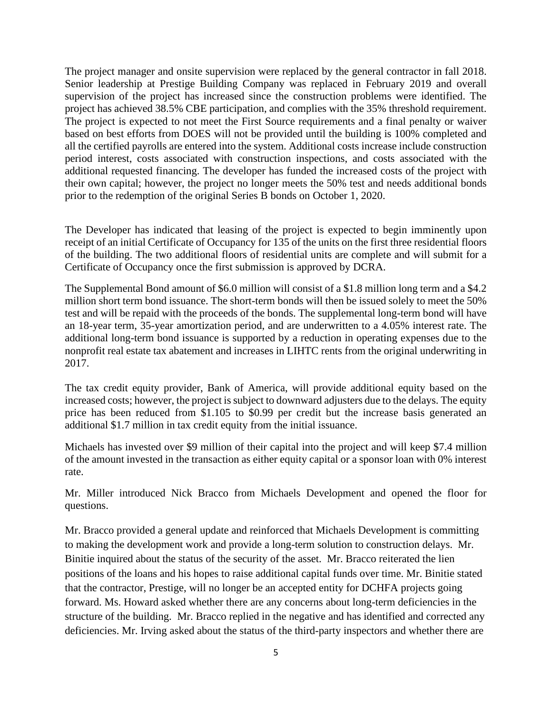The project manager and onsite supervision were replaced by the general contractor in fall 2018. Senior leadership at Prestige Building Company was replaced in February 2019 and overall supervision of the project has increased since the construction problems were identified. The project has achieved 38.5% CBE participation, and complies with the 35% threshold requirement. The project is expected to not meet the First Source requirements and a final penalty or waiver based on best efforts from DOES will not be provided until the building is 100% completed and all the certified payrolls are entered into the system. Additional costs increase include construction period interest, costs associated with construction inspections, and costs associated with the additional requested financing. The developer has funded the increased costs of the project with their own capital; however, the project no longer meets the 50% test and needs additional bonds prior to the redemption of the original Series B bonds on October 1, 2020.

The Developer has indicated that leasing of the project is expected to begin imminently upon receipt of an initial Certificate of Occupancy for 135 of the units on the first three residential floors of the building. The two additional floors of residential units are complete and will submit for a Certificate of Occupancy once the first submission is approved by DCRA.

The Supplemental Bond amount of \$6.0 million will consist of a \$1.8 million long term and a \$4.2 million short term bond issuance. The short-term bonds will then be issued solely to meet the 50% test and will be repaid with the proceeds of the bonds. The supplemental long-term bond will have an 18-year term, 35-year amortization period, and are underwritten to a 4.05% interest rate. The additional long-term bond issuance is supported by a reduction in operating expenses due to the nonprofit real estate tax abatement and increases in LIHTC rents from the original underwriting in 2017.

The tax credit equity provider, Bank of America, will provide additional equity based on the increased costs; however, the project is subject to downward adjusters due to the delays. The equity price has been reduced from \$1.105 to \$0.99 per credit but the increase basis generated an additional \$1.7 million in tax credit equity from the initial issuance.

Michaels has invested over \$9 million of their capital into the project and will keep \$7.4 million of the amount invested in the transaction as either equity capital or a sponsor loan with 0% interest rate.

Mr. Miller introduced Nick Bracco from Michaels Development and opened the floor for questions.

Mr. Bracco provided a general update and reinforced that Michaels Development is committing to making the development work and provide a long-term solution to construction delays. Mr. Binitie inquired about the status of the security of the asset. Mr. Bracco reiterated the lien positions of the loans and his hopes to raise additional capital funds over time. Mr. Binitie stated that the contractor, Prestige, will no longer be an accepted entity for DCHFA projects going forward. Ms. Howard asked whether there are any concerns about long-term deficiencies in the structure of the building. Mr. Bracco replied in the negative and has identified and corrected any deficiencies. Mr. Irving asked about the status of the third-party inspectors and whether there are